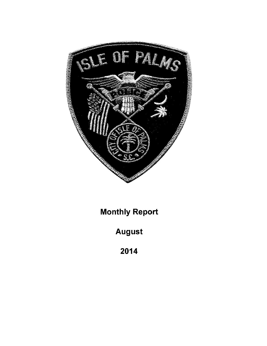

**Monthly Report** 

**August** 

2014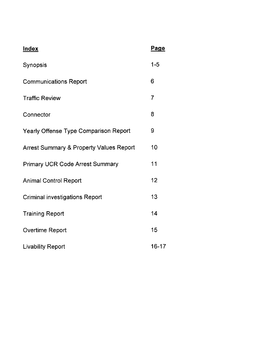| <b>Index</b>                                       | Page      |
|----------------------------------------------------|-----------|
| Synopsis                                           | $1 - 5$   |
| <b>Communications Report</b>                       | 6         |
| <b>Traffic Review</b>                              | 7         |
| Connector                                          | 8         |
| <b>Yearly Offense Type Comparison Report</b>       | 9         |
| <b>Arrest Summary &amp; Property Values Report</b> | 10        |
| <b>Primary UCR Code Arrest Summary</b>             | 11        |
| <b>Animal Control Report</b>                       | 12        |
| <b>Criminal investigations Report</b>              | 13        |
| <b>Training Report</b>                             | 14        |
| Overtime Report                                    | 15        |
| <b>Livability Report</b>                           | $16 - 17$ |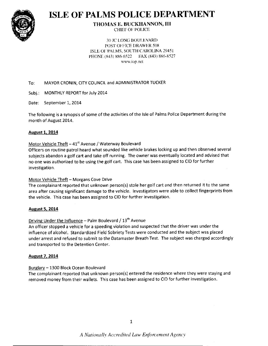

# **ISLE OF PALMS POLICE DEPARTMENT**

#### **THOMAS E. BUCKHANNON, III CHIEF OF POLICE**

**30 JC LONG BOULEVARD** POST OFFICE DRAWER 508 ISLE OF PALMS, SOUTH CAROLINA 29451 PHONE (843) 886-6522 FAX (843) 886-8527 www.iop.net

#### MAYOR CRONIN, CITY COUNCIL and ADMINISTRATOR TUCKER To:

Subj.: MONTHLY REPORT for July 2014

Date: September 1, 2014

The following is a synopsis of some of the activities of the Isle of Palms Police Department during the month of August 2014.

#### **August 1, 2014**

#### Motor Vehicle Theft - 41st Avenue / Waterway Boulevard

Officers on routine patrol heard what sounded like vehicle brakes locking up and then observed several subjects abandon a golf cart and take off running. The owner was eventually located and advised that no one was authorized to be using the golf cart. This case has been assigned to CID for further investigation.

#### Motor Vehicle Theft - Morgans Cove Drive

The complainant reported that unknown person(s) stole her golf cart and then returned it to the same area after causing significant damage to the vehicle. Investigators were able to collect fingerprints from the vehicle. This case has been assigned to CID for further investigation.

#### **August 5, 2014**

### Driving Under the Influence - Palm Boulevard / 13th Avenue

An officer stopped a vehicle for a speeding violation and suspected that the driver was under the influence of alcohol. Standardized Field Sobriety Tests were conducted and the subject was placed under arrest and refused to submit to the Datamaster Breath Test. The subject was charged accordingly and transported to the Detention Center.

#### **August 7, 2014**

#### Burglary - 1300 Block Ocean Boulevard

The complainant reported that unknown person(s) entered the residence where they were staying and removed money from their wallets. This case has been assigned to CID for further investigation.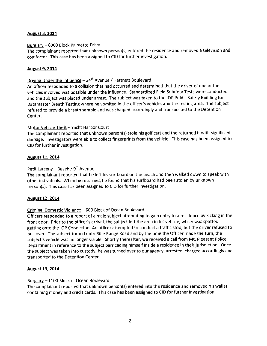#### **August 8, 2014**

#### Burglary - 6000 Block Palmetto Drive

The complainant reported that unknown person(s) entered the residence and removed atelevision and comforter. This case has been assigned to CID for further investigation.

#### August 9, 2014

#### Driving Under the Influence  $-24$ <sup>th</sup> Avenue / Hartnett Boulevard

An officer responded to a collision that had occurred and determined that the driver of one of the vehicles involved was possible under the influence. Standardized Field Sobriety Tests were conducted and the subject was placed under arrest. The subject was taken to the IOP Public Safety Building for Datamaster Breath Testing where he vomited in the officer's vehicle, and the testing area. The subject refused to provide a breath sample and was charged accordingly and transported to the Detention Center.

#### Motor Vehicle Theft - Yacht Harbor Court

The complainant reported that unknown person(s) stole his golf cart and the returned it with significant damage. Investigators were able to collect fingerprints from the vehicle. This case has been assigned to CID for further investigation.

#### August 11, 2014

#### Petit Larceny – Beach /  $9<sup>th</sup>$  Avenue

The complainant reported that he left his surfboard on the beach and then walked down to speak with other individuals. When he returned, he found that his surfboard had been stolen by unknown person(s). This case has been assigned to CID for further investigation.

#### August 12, 2014

#### Criminal Domestic Violence - 600 Block of Ocean Boulevard

Officers responded to a report of a male subject attempting to gain entry to a residence by kicking in the front door, Prior to the officer's arrival, the subject left the area in his vehicle, which was spotted getting onto the IOP Connector. An officer attempted to conduct a traffic stop, but the driver refused to pull over. The subject turned onto Rifle Range Road and by the time the Officer made the turn, the subject's vehicle was no longer visible. Shortly thereafter, we received a call from Mt. Pleasant Police Department in reference to the subject barricading himself inside a residence in their jurisdiction. Once the subject was taken into custody, he was turned over to our agency, arrested, charged accordingly and transported to the Detention Center.

#### August 13, 2014

#### Burglary - 1100 Block of Ocean Boulevard

The complainant reported that unknown person(s) entered into the residence and removed his wallet containing money and credit cards. This case has been assigned to CID for further investigation.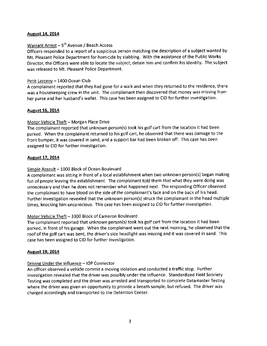#### Auqust 14, 2014

#### Warrant Arrest -  $5<sup>th</sup>$  Avenue / Beach Access

Officers responded to a report of a suspicious person matching the description of a subject wanted by Mt. pleasant Police Department for homicide by stabbing. With the assistance ofthe Public Works Director, the Officers were able to locate the subject, detain him and confirm his identity. The subject was released to Mt. Pleasant Police Department.

#### Petit Larceny - 1400 Ocean Club

A complainant reported that they had gone for a walk and when they returned to the residence, there was a housekeeping crew in the unit. The complainant then discovered that money was missing from her purse and her husband's wallet. This case has been assigned to CID for further investigation.

#### August 16, 2014

#### Motor Vehicle Theft - Morgan Place Drive

The complainant reported that unknown person(s) took his golf cart from the location ithad been parked. When the complainant returned to his golf cart, he observed that there was damage to the front bumper, it was covered in sand, and a support bar had been broken off. This case has been assigned to CID for further investigation.

#### August 17, 2014

#### Simple Assault - 1000 Block of Ocean Boulevard

A complainant was sitting in front of a local establishment when two unknown person(s) began making fun of people leaving the establishment, The complainant told them that what they were doing was unnecessary and then he does not remember what happened next, The responding Officer observed the complainant to have blood on the side of the complainant's face and on the back of his head. Further investigation revealed that the unknown person(s) struck the complainant in the head multiple times, knocking him unconscious. This case has been assigned to CID for further investigation.

#### Motor Vehicle Theft - 3300 Block of Cameron Boulevard

The complainant reported that unknown person(s) took his golf cart from the location it had been parked, in front of his garage. When the complainant went out the next morning, he observed that the roof ofthe golf cart was bent, the driver's side headlight was missing and it was covered in sand. This case has been assigned to clD for further investigation.

#### Auqust 19, 2014

#### Driving Under the Influence - IOP Connector

An officer observed avehicle commit a moving violation and conducted atraffic stop. Further investigation revealed that the driver was possibly under the influence. Standardized Field Sobriety Testing was completed and the driver was arrested and transported to complete Datamaster Testing where the driver was given an opportunity to provide a breath sample, but refused. The driver was charged accordingly and transported to the Detention Center.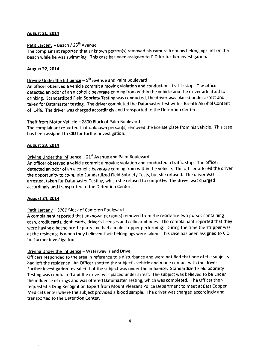#### Auqust 21, 2014

#### Petit Larceny - Beach / 25<sup>th</sup> Avenue

The complainant reported that unknown person(s) removed his camera from his belongings left on the beach while he was swimming. This case has been assigned to CID for further investigation.

#### August 22, 2014

#### Driving Under the Influence  $-5<sup>th</sup>$  Avenue and Palm Boulevard

An officer observed avehicle commit a moving violation and conducted atraffic stop. The officer detected an odor of an alcoholic beverage coming from within the vehicle and the driver admitted to drinking. Standardized Field Sobriety Testing was conducted, the driver was placed under arrest and taken for Datamaster testing. The driver completed the Datamaster test with a Breath Alcohol Content of .14%. The driver was charged accordingly and transported to the Detention Center.

#### Theft from Motor Vehicle - 2800 Block of Palm Boulevard

The complainant reported that unknown person(s) removed the license plate from his vehicle. This case has been assigned to CID for further investigation.

#### August 23, 2014

#### Driving Under the Influence  $-21<sup>st</sup>$  Avenue and Palm Boulevard

An officer observed avehicle commit a moving violation and conducted atraffic stop. The officer detected an odor of an alcoholic beverage coming from within the vehicle. The officer offered the driver the opportunity to complete Standardized Field Sobriety Tests, but she refused. The driver was arrested, taken for Datamaster Testing, which she refused to complete. The driver was charged accordingly and transported to the Detention Center.

#### August 24, 2014

#### Petit Larceny - 3700 Block of Cameron Boulevard

A complainant reported that unknown person(s) removed from the residence two purses containing cash, credit cards, debit cards, driver's licenses and cellular phones. The complainant reported that they were having a bachelorette party and had a male stripper performing. During the time the Stripper was at the residence is when they believed their belongings were taken. This case has been assigned to CID for further investigation.

#### Driving Under the Influence - Waterway Island Drive

Officers responded to the area in reference to a disturbance and were notified that one of the subjects had left the residence. An Officer spotted the subject's vehicle and made contact with the driver. Further investigation revealed that the subject was under the influence. Standardized Field Sobriety Testing was conducted and the driver was placed under arrest. The subject was believed to be under the influence of drugs and was offered Datamaster Testing, which was completed. The Officer then requested aDrug Recognition Expert from Mount Pleasant Police Department to meet at East Cooper Medical center where the subject provided a blood sample. The driver was charged accordingly and transported to the Detention Center.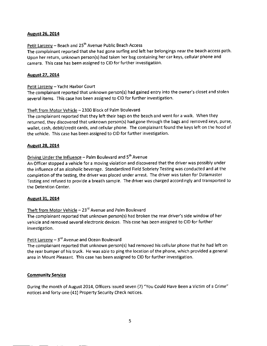#### August 26. 2014

#### Petit Larceny - Beach and 25<sup>th</sup> Avenue Public Beach Access

The complainant reported that she had gone surfing and left her belongings near the beach access path. Upon her return, unknown person(s) had taken her bag containing her car keys, cellular phone and camera. This case has been assigned to CID for further investigation.

#### August 27, 2014

#### Petit Larceny - Yacht Harbor Court

The complainant reported that unknown person(s) had gained entry into the owner's closet and stolen several items. This case has been assigned to CID for further investigation.

#### Theft from Motor Vehicle - 2300 Block of Palm Boulevard

The complainant reported that they left their bags on the beach and went for a walk. When they returned, they discovered that unknown person(s) had gone through the bags and removed keys, purse, wallet, cash, debit/credit cards, and cellular phone. The complainant found the keys left on the hood of the vehicle. This case has been assigned to CID for further investigation.

#### August 28, 2014

### Driving Under the Influence - Palm Boulevard and 5<sup>th</sup> Avenue

An Officer stopped a vehicle for a moving violation and discovered that the driver was possibly under the influence of an alcoholic beverage. Standardized Field Sobriety Testing was conducted and at the completion of the testing, the driver was placed under arrest. The driver was taken for Datamaster Testing and refused to provide a breath sample. The driver was charged accordingly and transported to the Detention Center.

#### August 31, 2014

#### Theft from Motor Vehicle  $-23$ <sup>rd</sup> Avenue and Palm Boulevard

The complainant reported that unknown person(s) had broken the rear driver's side window of her vehicle and removed several electronic devices. This case has been assigned to CID for further investigation.

#### Petit Larceny  $-3<sup>rd</sup>$  Avenue and Ocean Boulevard

The complainant reported that unknown person(s) had removed his cellular phone that he had left on the rear bumper of his truck. He was able to ping the location ofthe phone, which provided a general area in Mount Pleasant. This case has been assigned to CID for further investigation.

#### **Community Service**

During the month of August 2014, Officers issued seven (7) "You Could Have Been a Victim of a Crime" notices and forty-one (41) Property Security Check notices.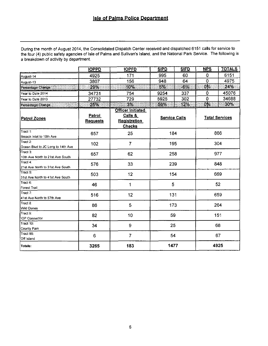During the month of August 2014, the Consolidated Dispatch Center received and dispatched 6151 calls for service to the four (4) public safety agencies of Isle of Palms and Sullivan's Island, and the National Park Service. The following is a breakdown of activity by department.

|                                               | <b>IOPPD</b>                     | <b>IOPFD</b>                                                         | <b>SIPD</b>          | <b>SIFD</b> | <b>NPS</b>  | <b>TOTALS</b>         |
|-----------------------------------------------|----------------------------------|----------------------------------------------------------------------|----------------------|-------------|-------------|-----------------------|
| August-14                                     | 4925                             | 171                                                                  | 995                  | 60          | 0           | 6151                  |
| August-13                                     | 3807                             | 156                                                                  | 948                  | 64          | Ó           | 4975                  |
| Percentage Change                             | 29%                              | 10%                                                                  | 5%                   | $-6\%$      |             | 24%                   |
| Year to Date 2014                             | 34731                            | 754                                                                  | 9254                 | 337         | 0           | 45076                 |
| Year to Date 2013                             | 27732                            | 729                                                                  | 5925<br>302          |             | $\mathbf 0$ | 34688                 |
| Percentage Change<br>mmmm                     | 25%                              | 3%                                                                   | 56%                  | 12%         | $0\%$       | 30%                   |
| <b>Patrol Zones</b>                           | <b>Patrol</b><br><b>Requests</b> | Officer Initiated<br>Calls &<br><b>Registration</b><br><b>Checks</b> | <b>Service Calls</b> |             |             | <b>Total Services</b> |
| Tract 1.<br>Breach Inlet to 10th Ave          | 657                              | 25                                                                   | 184                  |             |             | 866                   |
| Tract 2:<br>Ocean Blvd to JC Long to 14th Ave | 102                              | $\overline{7}$                                                       | 195                  |             |             | 304                   |
| Tract 3:<br>10th Ave North to 21st Ave South  | 657                              | 62                                                                   | 258                  |             |             | 977                   |
| Tract 4:<br>21st Ave North to 31st Ave South  | 576                              | 33                                                                   |                      | 239         |             | 848                   |
| Tract 5:<br>31st Ave North to 41st Ave South  | 503                              | 12                                                                   | 154                  |             |             | 669                   |
| Tract 6:<br>Forest Trail                      | 46                               | 1                                                                    | 5                    |             | 52          |                       |
| Tract 7:<br>41st Ave North to 57th Ave        | 516                              | 12                                                                   | 131                  |             | 659         |                       |
| Tract 8:<br><b>Wild Dunes</b>                 | 86                               | 5                                                                    | 173                  |             |             | 264                   |
| Tract 9:<br><b>IOP Connector</b>              | 82                               | 10                                                                   | 59                   |             |             | 151                   |
| Tract 10:<br>County Park                      | 34                               | 9                                                                    | 25                   |             |             | 68                    |
| Tract 99:<br>Off Island                       | 6                                | $\overline{7}$                                                       | 54                   |             | 67          |                       |
| Totals:                                       | 3265                             | 183                                                                  | 1477                 |             |             | 4925                  |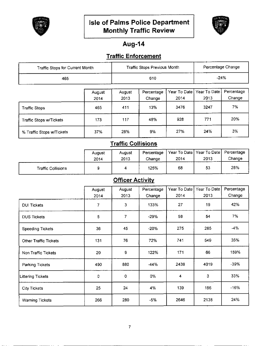



## Aug-14

## Traffic Enforcement

| Traffic Stops for Current Month |                |                | Traffic Stops Previous Month |                        | Percentage Change    |                      |
|---------------------------------|----------------|----------------|------------------------------|------------------------|----------------------|----------------------|
| 465                             |                |                | 610                          |                        | $-24%$               |                      |
|                                 | August<br>2014 | August<br>2013 | Percentage<br>Change         | Year To Date  <br>2014 | Year To Date<br>2013 | Percentage<br>Change |
| <b>Traffic Stops</b>            | 465            | 411            | 13%                          | 3476                   | 3247                 | 7%                   |
| Traffic Stops w/Tickets         | 173            | 117            | 48%                          | 928                    | 771                  | 20%                  |
| % Traffic Stops w/Tickets       | 37%            | 28%            | 9%                           | 27%                    | 24%                  | 3%                   |

## **Traffic Collisions**

|                           | August<br>2014 | August<br>2013 | Percentage<br>Change | Year To Date   Year To Date   Percentage<br>2014 | 2013 | Change |
|---------------------------|----------------|----------------|----------------------|--------------------------------------------------|------|--------|
| <b>Traffic Collisions</b> |                |                | 125%                 | 68                                               | 53   | 28%    |

### **Officer Activity**

|                              | August | August | Percentage | Year To Date            | Year To Date | Percentage |
|------------------------------|--------|--------|------------|-------------------------|--------------|------------|
|                              | 2014   | 2013   | Change     | 2014                    | 2013         | Change     |
| <b>DUI Tickets</b>           | 7      | 3      | 133%       | 27                      | 19           | 42%        |
| <b>DUS Tickets</b>           | 5      | 7      | $-29%$     | 58                      | 54           | 7%         |
| <b>Speeding Tickets</b>      | 36     | 45     | $-20%$     | 275                     | 285          | $-4%$      |
| <b>Other Traffic Tickets</b> | 131    | 76     | 72%        | 741                     | 549          | 35%        |
| Non Traffic Tickets          | 20     | 9      | 122%       | 171                     | 66           | 159%       |
| Parking Tickets              | 490    | 880    | -44%       | 2438                    | 4019         | $-39%$     |
| <b>Littering Tickets</b>     | 0      | 0      | 0%         | $\overline{\mathbf{4}}$ | 3            | 33%        |
| <b>City Tickets</b>          | 25     | 24     | 4%         | 139                     | 166          | $-16%$     |
| <b>Warning Tickets</b>       | 266    | 280    | -5%        | 2646                    | 2138         | 24%        |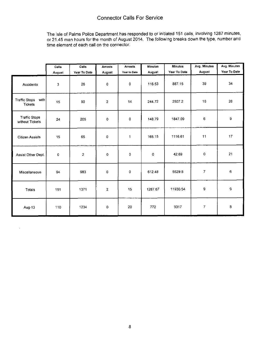The lsle of Palms Police Department has responded to or initiated 151 calls, involving 1287 minutes, or 21.45 man hours for the month of August 2014. The following breaks down the type, number and time element of each call on the connector.

|                                                | Calls  | Calls          | <b>Arrests</b> | <b>Arrests</b> | <b>Minutes</b> | <b>Minutes</b> | Avg. Minutes | Avg Minutes  |
|------------------------------------------------|--------|----------------|----------------|----------------|----------------|----------------|--------------|--------------|
|                                                | August | Year To Date   | August         | Year to Date   | August         | Year To Date   | August       | Year To Date |
| Accidents                                      | 3      | 26             | 0              | 0              | 116.53         | 887.15         | 39           | 34           |
| <b>Traffic Stops</b><br>with<br><b>Tickets</b> | 15     | 90             | $\overline{2}$ | 14             | 244.72         | 2507.2         | 16           | 28           |
| <b>Traffic Stops</b><br>without Tickets        | 24     | 205            | $\circ$        | 0              | 148.79         | 1847.09        | 6            | 9            |
| <b>Citizen Assists</b>                         | 15     | 65             | $\Omega$       | $\mathbf{1}$   | 165.15         | 1116.61        | 11           | 17           |
| Assist Other Dept.                             | 0      | $\overline{2}$ | $\circ$        | 0              | 0              | 42.69          | 0            | 21           |
| Miscellaneous                                  | 94     | 983            | $\mathbf 0$    | o              | 612.48         | 5529.8         | 7            | 6            |
| Totals                                         | 151    | 1371           | $\overline{2}$ | 15             | 1287.67        | 11930.54       | 9            | a,           |
| Aug-13                                         | 110    | 1234           | $\mathbf 0$    | 20             | 772            | 9317           | 7            | 8            |

 $\bar{\beta}$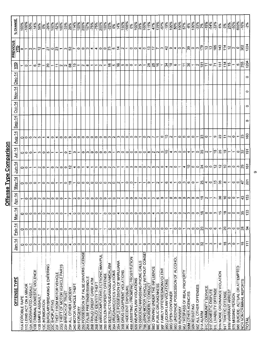#### % CHANGE  $\frac{100\%}{100\%}$  $\frac{88}{100}$  $\frac{32%}{100%}$ 200%<br>167% 150%  $\sqrt{\frac{2000}{200}}$ 129% 100% 100% <u>|៖</u>  $\frac{3}{2}$  $-15%$ -54%  $33%$ 600%  $-16%$ 114%  $100%$  $\frac{1}{75\%}$  $\frac{8}{200\%}$  $\frac{100\%}{22\%}$  $\frac{8}{100}$ 115%  $-19%$  $\frac{1}{2}$  $\frac{8}{15}$  $\frac{1}{2}$  $-67%$ န့်  $-50%$ 100%  $-14%$  $-33%$ 28% 25% 58% 14% 47%  $\frac{8}{57}$ နို 6% ∣៵  $2%$ ò. ∣≋ **PREVIOUS**  $1224$  $|\tilde{\omega}|$ 143  $\frac{8}{2}$  $114$ 302 且  $\vec{4}$ ∣∾ 4 ဇ္က  $\mathfrak{D}$  $\simeq$  $|z|$  $\circ$ Ť o  $\tilde{\mathcal{E}}$  $\tilde{c}$  $\overline{\mathbf{S}}$  $\ddot{\phantom{0}}$  $\mathbb{Z}$  $\mathbf{c}$ ါအ Ò ċ ò ċ ù,  $\overline{\mathbf{C}}$  $\circ$  $\circ$ ₹ Ò ø Œ,  $\overline{\phantom{a}}$ 0  $\mathbf{\Omega}$ 0 1204 255 ÇЦ  $51$  $\frac{14}{11}$  $\overline{5}$ ¦≌ န္တြ ع| 54 36 Ξ Ιõ |နွ 15 ∣≌ 9 io, Ò ú) 28  $\frac{1}{2}$ Ó  $\overline{\mathbf{c}}$  $\omega$  $\overline{5}$  $\bullet$ 6 Ŀ.  $\equiv$  $\circ$ 20 Ξ  $\overline{\mathbf{C}}$  $\sim$  $\sim$  $\infty$  $\mathbf{\hat{z}}$ Ò  $Dec 14$  $\circ$  $Nov-14$  $\circ$  $Oct 14$  $\circ$  $SEp-14$  $\circ$ **Aug 14** 160 23  $\overline{a}$  $23$ 0 တ  $\mathbb{N}$ l. Ċ မာ  $\overline{\mathsf{c}}$ ¢ c Ò 0 ₹ o ¢ œ ic.  $\bullet$  $\bullet$ Ō Ò iф 0  $\circ$ ø  $\sim$ S ¢ ¢ ¢ ¢  $\circ$ N  $\mathbf{C}$  $\circ$ ¢  $Jul-14$  $\overline{191}$  $\subseteq$ g ă  $\frac{1}{26}$  $\frac{\sigma}{\tau}$ 5 Ò ò ċ Ċ Ò C  $\overline{a}$ ŏ. Ċ 6  $\mathbf{\tilde{c}}$  $\circ$  $\circ$ Φ ċ Ċ ¢ ¢ ø  $\circ$ Ó Ó œ Ξ <u>Jun-14</u>  $61$  $\tilde{c}$  $\tilde{c}$ ని ₽ ∣≘  $\mathbf{z}$ o o m, Ō  $\epsilon$ ¢  $\simeq$ Ó c ¢ ¢  $\Rightarrow$ ю 4 o t Ó 5  $Mav-14$  $\overline{5}$  $\frac{5}{1}$  $35$ 25 47 ≌ o, ö ₹ d o Ó 4  $\circ$  $\infty$ o ċ  $\circ$ o d  $\mathbf{\tilde{c}}$ ¢ Ó  $\bullet$ ¢  $\ddot{\circ}$  $\circ$ O c O ¢ C  $\circ$  $Apr-14$ 153  $\boldsymbol{\mathcal{S}}$ lə 43 ሚ  $\ddot{\phantom{0}}$  $\circ$ ċ  $\bullet$ Ò ١m Ó Ċ Ò ശ C ¢  $\bullet$ Ó Ò ċ. Ó Ó  $\sim$ ¢ Ó ¢ ¢ Ó 6  $\bullet$  $\mathbf{\overline{C}}$  $Mar-14$  $\frac{33}{2}$  $\frac{10}{2}$  $\approx$ 35 œ b o o  $\circ$ d c c o Ó c o ¢ ×. 0 ¢ 0 ¢ 0  $\epsilon$ Ċ.  $\mathbf C$  $Eeb-14$  $\mathbf{r}$ ခြ 28  $\circ$ c Ó c d 0  $\circ$ o  $\circ$ o o ò Ċ o ΙS  $\sim$  $\circ$ Ö  $\overline{a}$ 70  $\circ$ o d d o O Ċ d Ċ d Ó o  $\circ$  $\mathbf C$ O Ó C C S C  $Jan-14$  $\frac{1}{11}$  $\frac{8}{1}$ \$  $\circ$  $\ddot{\circ}$  $\bullet$ g Ġ  $\ddot{\phantom{1}}$  $\circ$ O  $\circ$  $\circ$  $\circ$ M ò  $\epsilon$ ø Ò ø  $\circ$ o lo Ċ  $\circ$ O 0  $\circ$ 0 Ò  $\sim$ o ¦0  $\circ$  $\circ$ 4 C  $\circ$ ო  $\circ$ lက 250 POSSESSION OF FALSE DRIVERS LICENSE 756 USING MOTOR VEHICLE WITHOUT CONSE 26E WIRE/COMPUTER/ELECTRONIC MANIPUL 40B ASSISTING / PROMITING PROSTITUTION 90G UNDERAGE POSSESSION OF ALCOHOL 753 OBSCENE/HARASSING PHONE CALLS 35A SIMPLE POSSESSION OF MARIJUANA 290 DESTRUCTIVE/DAMAGE/VANDALISM 220 BURGLARY/BREAKING & ENTERING 23G THEFT OF MOTOR VEHICLE PARTS 90D DRIVING UNDER THE INFLUENCE 980 SUICIDE- ACTUAL OR ATTEMPTED 90F FAMILY OFFENSES/NONVIOLENT 13B CRIMINAL DOMESTIC VIOLENCE 35A DRUG/NARCOTICS VIOLATIONS 35B DRUG EQUIPMENT VIOLATIONS 90J TRESPASS OF REAL PROPERTY 91N NOISE ORDINANCE VIOLATION 23F THEFT FROM MOTOR VEHICLE 280 STOLEN PROPERTY OFFENSE 26A FALSE PRETENSE/SWINDLE **OFFENSE TYPE** 26B FRAUD CREDIT CARD/ ATM 520 WEAPON LAW VIOLATIONS 90G LIQUOR LAW VIOLATIONS NCR NON CRIMINAL REPORTS **ITA FORCIBLE RAPE<br>ITD LEWD ACT ON A MINOR** 13A AGGRAVATED ASSAULT 240 MOTOR VEHICLE THEFT 26B FRAUD/ IDENTITY THEF 90C DISORDERLY CONDUCT 90E PUBLIC DRUNKENNESS 902 ALL OTHER OFFENSES **36C INDECENT EXPOSURE** 91C COMMUNITY SERVICE 23H ALL OTHER LARCENY 91L LIVABILITY OFFENSE 91F DOMESTIC DISPUTE 91W WARRANT ARREST 23H BREACH OF TRUST 90G OPEN CONTAINER 911 TRAFFIC OFFENSE **90M OTHER AGENCIES** 979 MISSING PERSON 3B SIMPLE ASSAULT 13C INTIMIDATION 23C SHOPLIFTING **90N RESISTING** 250 FORGERY **BOI RUNAWAY** 91A ALARM TOTAL

Offense Type Comparison

 $\sigma$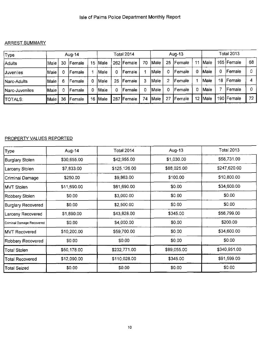#### ARREST SUMMARY

| 'Туре            |             |    | Aug-14         |    |             |     | Total 2014     |    |        |    | Aug-13  |    |               |    | Total 2013   |    |
|------------------|-------------|----|----------------|----|-------------|-----|----------------|----|--------|----|---------|----|---------------|----|--------------|----|
| Adults           | Male        | 30 | <b>IFemale</b> | 15 | Male)       |     | 262   Female   | 70 | Male   | 25 | Female  | 11 | <b>IMale</b>  |    | 165 Female   | 68 |
| <b>Juveniles</b> | Male        |    | Female         |    | Male        |     | Female         |    | Male   |    | Female  | 0  | <i>Male</i>   | 0  | Female       |    |
| Narc-Adults      | Male        | 6  | Female         | 0  | Male        | 25  | Female         |    | IMale  | 2  | lFemale |    | Male          | 18 | Female       |    |
| Narc-Juveniles   | <b>Male</b> |    | lFemale        | 0  | ∣Male       | 0   | Female         |    | lMale. | 0  | Female  | 0  | Male          |    | lFemale      |    |
| <b>TOTALS:</b>   | <b>Male</b> | 36 | <b>IFemale</b> | 16 | <b>Male</b> | 287 | <b>IFemale</b> | 74 | Male   | 27 | Female  | 12 | <b>I</b> Male |    | 190   Female | 72 |

### PROPERTY VALUES REPORTED

| Type                      | Aug-14      | Total 2014   | Aug-13      | <b>Total 2013</b> |
|---------------------------|-------------|--------------|-------------|-------------------|
| Burglary Stolen           | \$30,655.00 | \$42,955.00  | \$1,030.00  | \$58,731.00       |
| Larceny Stolen            | \$7,833.00  | \$125,126.00 | \$88,025.00 | \$247,620.00      |
| Criminal Damage           | \$250.00    | \$9,863.00   | \$100.00    | \$10,800.00       |
| <b>MVT Stolen</b>         | \$11,690.00 | \$61,690.00  | \$0.00      | \$34,600.00       |
| Robbery Stolen            | \$0.00      | \$3,000.00   | \$0.00      | \$0.00            |
| <b>Burglary Recovered</b> | \$0.00      | \$2,500.00   | \$0.00      | \$0.00            |
| Larceny Recovered         | \$1,890.00  | \$43,828.00  | \$345.00    | \$56,799.00       |
| Criminal Damage Recovered | \$0.00      | \$4,000.00   | \$0.00      | \$200.00          |
| MVT Recovered             | \$10,200.00 | \$59,700.00  | \$0.00      | \$34,600.00       |
| Robbery Recovered         | \$0.00      | \$0.00       | \$0.00      | \$0.00            |
| Total Stolen              | \$50,178.00 | \$232,771.00 | \$89,055.00 | \$340,951.00      |
| <b>Total Recovered</b>    | \$12,090.00 | \$110,028.00 | \$345.00    | \$91,599.00       |
| <b>Total Seized</b>       | \$0.00      | \$0.00       | \$0.00      | \$0.00            |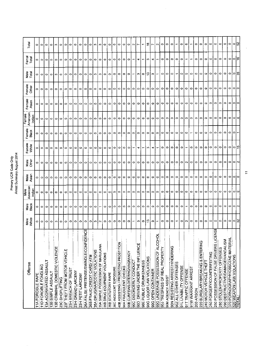| Offense                                   | Male<br>White | Nale<br>Black | American<br>Male | Male<br>Asian | Mate<br>Other | Female<br>White | Female<br>Black | American<br>Female | Female    | Female<br>Other | Male<br>Total | Femal<br>Total | Total                |
|-------------------------------------------|---------------|---------------|------------------|---------------|---------------|-----------------|-----------------|--------------------|-----------|-----------------|---------------|----------------|----------------------|
|                                           |               |               | Indian           |               |               |                 |                 | Indian             | Asian     |                 |               |                |                      |
| <b>11A FORCIBLE RAPE</b>                  | 0             | 0             |                  | $\circ$       | 0             | 0               | 0               |                    | o         | ۰               | 0             | ۰              | $\circ$              |
| 11D FORCIBLE FONDLING                     | ۰             | $\circ$       | $\circ$          | $\circ$       | $\circ$       | ۰               | $\circ$         | $\circ$            | $\circ$   | $\circ$         | $\circ$       | $\circ$        | $\circ$              |
| 13A AGGRAVATED ASSAULT                    | $\circ$       | $\circ$       | $\circ$          | $\circ$       | $\circ$       | $\circ$         | $\circ$         | $\circ$            | $\circ$   | $\circ$         | ۰             | ۰              | $\circ$              |
| 13B SIMPLE ASSAULT                        | $\circ$       | $\circ$       | ۰                | $\circ$       | $\circ$       | ۰               | $\circ$         | $\circ$            | $\circ$   | ۰               | 0             | $\circ$        | $\circ$              |
| 13B CRIMINAL DOMESTIC VIOLENCE            | C             | $\circ$       | ۰                | O             | $\circ$       | ۰               | $\circ$         | $\circ$            | $\bullet$ | $\circ$         | ო             | $\circ$        | $\mathbf{C}$         |
| 23C SHOPLIFTING                           | ۰             | $\circ$       | $\circ$          | $\circ$       | $\circ$       | $\circ$         | $\circ$         | $\bullet$          | $\circ$   | $\circ$         | $\circ$       | $\circ$        | $\circ$              |
| 23F THEFT FROM MOTOR VEHICLE              | 0             | o             | o                | o             | 0             | Ο               | Φ               | Ο                  | $\circ$   | o               | 0             | ۰              | $\circ$              |
| 23H BREACH OF TRUST                       | ۰             | $\circ$       | $\circ$          | ۰             | $\circ$       | ۰               | ۰               | $\circ$            | $\circ$   | ۰               | ۰             | $\circ$        | $\qquad \qquad \Box$ |
| 23H GRAND LARCENY                         | ۰             | $\circ$       | ۰                | $\circ$       | ۰             | $\circ$         | $\circ$         | $\circ$            | $\circ$   | $\circ$         | o             | ۰              | $\circ$              |
| 23H PETIT LARCENY                         | ۰             | 0             | $\circ$          | ۰             | 0             | ۰               | 0               | 0                  | 0         | O               | ۰             | ۰              | $\circ$              |
| ╥<br>26A FALSE PRETENSE/SWINDLE/CONFIDENC | $\circ$       | o             | $\circ$          | ۰             | 0             | ۰               | $\circ$         | $\circ$            | o         | $\circ$         | 0             | 0              | $\circ$              |
| 26B FRAUD CREDIT CARD/ ATM                | ۰             | $\circ$       | $\circ$          | ۰             | 0             | ۰               | $\circ$         | $\circ$            | ۰         | 0               | $\circ$       | O              | $\circ$              |
| 35A DRUG/NARCOTIC VIOLATIONS              | c             | $\circ$       | $\circ$          | ۰             | $\bullet$     | ۰               | ۰               | $\circ$            | $\bullet$ | ۰               | c             | $\bullet$      | $\mathbf{c}$         |
| 35A SIMPLE POSSESSION OF MARIJUANA        | $\sim$        | ÷             | $\circ$          | $\circ$       | 0             | $\circ$         | ٥               | $\circ$            | ۰         | ۰               | ఌ             | $\circ$        | C)                   |
| 35B DRUG EQUIPMENT VIOLATIONS             | $\circ$       | 0             | $\circ$          | 0             | 0             | ۰               | 0               | $\circ$            | $\circ$   | 0               | 0             | 0              | $\circ$              |
| 36B STATUTORY RAPE                        | $\circ$       | $\circ$       | $\circ$          | $\circ$       | $\circ$       | ۰               | $\circ$         | $\circ$            | $\circ$   | 0               | ۰             | $\bullet$      | ۰                    |
| 36C INDECENT EXPOSURE                     | Ο             | $\circ$       | $\circ$          | ٥             | o             | ۰               | ۰               | $\circ$            | ۰         | ۰               | ۰             | ۰              | O                    |
| 40B ASSISTING / PROMOTING PROSTITION      | 0             | $\circ$       | $\circ$          | 0             | 0             | ۰               | ۰               | $\circ$            | ۰         | 0               | ۰             | o              | $\circ$              |
| 90A FRAUDULENT CHECKS                     | ۰             | $\circ$       | $\circ$          | ۰             | ۰             | $\circ$         | 0               | $\circ$            | $\circ$   | ۰               | ۰             | ۰              | ۰                    |
| 90B CURFEWILOITERING/VAGRANCY             | ۰             | $\circ$       | $\circ$          | ۰             | 0             | ۰               | ۰               | $\circ$            | ۰         | ۰               | ۰             | 0              | $\circ$              |
| 90C DISORDERLY CONDUCT                    |               | $\circ$       | $\circ$          | ۰             | $\circ$       |                 | ۰               | $\circ$            | ۰         | ۰               |               |                | Z                    |
| 90D DRIVING UNDER THE INFLUENCE           | c             | $\circ$       | $\circ$          | c             | o             | ₩               | ۰               | ۰                  | ۰         | ۰               | ω             | 4              |                      |
| 90E PUBLIC DRUNKENNESS                    | $\circ$       | $\circ$       | $\circ$          | ۰             | o             |                 | ۰               | $\circ$            | ۰         | ۰               | ۰             |                |                      |
| 90G LIQUOR LAW VIOLATIONS                 | ≌             | $\circ$       | $\circ$          | ۰             | 0             | <b>S</b>        | ۰               | $\circ$            | ۰         | $\circ$         | $\mathbf{a}$  | e.             | ٩                    |
| 90G OPEN CONTAINER                        | n             | $\circ$       | ۰                | ۰             | 0             | 4               | ۰               | ۰                  | ۰         | ۰               | s             | 4              |                      |
| 90G UNDERAGE POSSESSION OF ALCOHOL        |               | $\circ$       | $\circ$          | ۰             | ۰             |                 | ۰               | $\circ$            | ۰         | ۰               |               |                | N                    |
| 90J TRESPASS OF REAL PROPERTY             | ۰             | $\circ$       | $\circ$          | ۰             | $\circ$       | ۰               | $\circ$         | $\circ$            | ۰         | ۰               | $\circ$       | ¢              | ۰                    |
| 90M AGENCY ASSIST                         | 0             | $\circ$       | $\circ$          | ۰             | ۰             | $\circ$         | ۰               | $\circ$            | ۰         | ۰               | ٥             | $\bullet$      | ۰                    |
| 90N RESISTING ARREST/HINDERING            | ۰             | $\circ$       | $\circ$          | 0             | 0             | $\circ$         | ۰               | $\circ$            | ۰         | ۰               | $\circ$       | $\circ$        | ۰                    |
| 902 ALL OTHER OFFENSES                    |               | $\circ$       | $\bullet$        | ۰             | $\circ$       | ۰               | $\circ$         | $\circ$            | ۰         | ۰               |               | $\circ$        |                      |
| 91L LIVABILITY OFFENSE                    | ۰             | $\circ$       | ۰                | ۰             | 0             | ۰               | O               | ۰                  | o         | ۰               | o             | o              | ۰                    |
| 91T TRAFFIC OFFENSE                       | $\sim$        | ↽             | $\circ$          | ۰             | N             |                 | $\circ$         | $\circ$            | $\circ$   | ۰               | S.            |                | ٥                    |
| 91W WARRANT ARREST                        | 0             | $\circ$       | $\circ$          | ۰             | ۰             | 0               |                 | $\circ$            | 0         | ۰               | $\circ$       |                |                      |
| 200 ARSON                                 | ۰             | ۰             | $\circ$          | 0             | 0             | 0               | ۰               | 0                  | 0         | o               | 0             | 0              | 0                    |
| 220 BURGLARY/BREAKING & ENTERING          | $\circ$       | $\circ$       | $\circ$          | ۰             | ۰             | $\circ$         | $\circ$         | $\circ$            | $\circ$   | $\circ$         | $\circ$       | $\circ$        | ۰                    |
| 240 MOTOR VEHICLE THEFT                   | $\circ$       | $\circ$       | $\circ$          | ۰             | ۰             | $\circ$         | $\circ$         | $\circ$            | o         | ۰               | $\circ$       | $\bullet$      | O                    |
| 250 FORGERY/COUNTERFEITING                | $\circ$       | $\circ$       | $\circ$          | ٥             | ۰             | $\circ$         | ۰               | 0                  | 0         | ۰               | ۰             | 0              | O                    |
| 250 POSSESSION OF FALSE DRIVERS LICENSE   | $\circ$       | $\circ$       | $\circ$          | ۰             | ۰             | $\circ$         | $\circ$         | $\circ$            | 0         | 0               | O             | ۰              | $\circ$              |
| 280 STOLEN PROPERTY OFFENSES              | $\circ$       | $\circ$       | $\circ$          | ۰             | ۰             | $\circ$         | $\circ$         | $\circ$            | $\circ$   | $\circ$         | ۰             | $\circ$        | $\circ$              |
| 290 DESTRUCTIVE/DAMAGE/VANDALISM          | $\circ$       | 0             | $\circ$          | ۰             | 0             | $\circ$         | ۰               | 0                  | o         | $\circ$         | $\circ$       | ۰              | ۰                    |
| 370 PORNOGRAPHY/OBSCENE MATERIAL          | $\circ$       | $\circ$       | $\circ$          | 0             | $\circ$       | $\circ$         | ۰               | ۰                  | ۰         | $\circ$         | 이아용           | ۰              | $\circ$              |
| 520 WEAPON LAW VIOLATIONS                 | ∣∘∣≳          | $\circ$       | olo              | $\circ$       | ۰             | 이유              | $\circ$         | $\circ$            | ۰         | ା               |               | ∣o∣≌           | $  \circ  $ ္ဖ       |
| <b>TOTAL:</b>                             |               | $\sim$        |                  | $\circ$       |               |                 |                 | $\circ$            | $\circ$   | $\circ$         |               |                |                      |

 $\ddot{\phantom{a}}$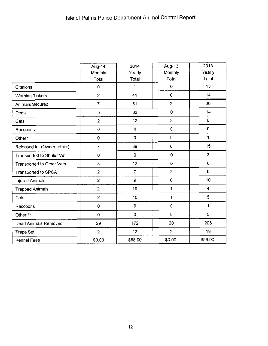|                             | Aug-14             | 2014               | Aug-13         | 2013                    |
|-----------------------------|--------------------|--------------------|----------------|-------------------------|
|                             | Monthly            | Yearly             | Monthly        | Yearly                  |
|                             | Total              | Total              | Total          | Total                   |
| <b>Citations</b>            | 0                  | 1                  | $\pmb{0}$      | 15                      |
| <b>Warning Tickets</b>      | $\overline{c}$     | 41                 | $\mathbf 0$    | 14                      |
| <b>Animals Secured</b>      | $\overline{7}$     | 51                 | $\overline{2}$ | 20                      |
| Dogs                        | 5                  | 32                 | $\overline{0}$ | 14                      |
| Cats                        | $\overline{c}$     | 12                 | $\overline{2}$ | 5                       |
| Raccoons                    | $\pmb{0}$          | $\overline{\bf 4}$ | $\overline{0}$ | $\mathbf 0$             |
| Other*                      | $\pmb{\mathsf{O}}$ | 3                  | $\mathbf 0$    | 1                       |
| Released to: (Owner, other) | $\overline{7}$     | 39                 | $\mathbf 0$    | 15                      |
| Transported to Shuler Vet   | $\pmb{0}$          | $\mathbf 0$        | $\mathbf 0$    | $\mathbf{3}$            |
| Transported to Other Vets   | 3                  | 12                 | $\mathbf 0$    | $\mathbf 0$             |
| Transported to SPCA         | $\overline{2}$     | $\overline{7}$     | $\overline{2}$ | 6                       |
| <b>Injured Animals</b>      | $\overline{2}$     | 9                  | $\mathbf 0$    | 10                      |
| <b>Trapped Animals</b>      | $\overline{2}$     | 10                 | 1              | $\overline{\mathbf{4}}$ |
| Cats                        | $\overline{2}$     | 10                 | 1              | 5                       |
| Raccoons                    | $\pmb{0}$          | $\mathbf 0$        | $\circ$        | 1                       |
| Other **                    | $\pmb{0}$          | $\mathbf 0$        | $\mathbf 0$    | 5                       |
| <b>Dead Animals Removed</b> | 29                 | 172                | 20             | 205                     |
| <b>Traps Set</b>            | $\overline{2}$     | 12                 | $\overline{2}$ | 18                      |
| Kennel Fees                 | \$0.00             | \$88.00            | \$0.00         | \$56.00                 |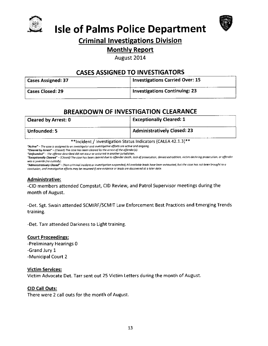



# **Isle of Palms Police Department**

### **Criminal Investigations Division**

### **Monthly Report**

August 2014

### **CASES ASSIGNED TO INVESTIGATORS**

| <b>Cases Assigned: 37</b> | <b>Investigations Carried Over: 15</b> |
|---------------------------|----------------------------------------|
| <b>Cases Closed: 29</b>   | <b>Investigations Continuing: 23</b>   |

### **BREAKDOWN OF INVESTIGATION CLEARANCE**

| <b>Cleared by Arrest: 0</b> | Exceptionally Cleared: $1$         |
|-----------------------------|------------------------------------|
| Unfounded: 5                | <b>Administratively Closed: 23</b> |

\*\*Incident / Investigation Status Indicators (CALEA 42.1.3)\*\*

"Active" - The case is assigned to an investigator and investigative efforts are active and ongoing.

"Cleared by Arrest" - (Closed) The case has been cleared by the arrest of the offender(s)

"Unfounded" - The offense described did not occur or occurred in another jurisdiction.

"Exceptionally Cleared" - (Closed) The case has been cleared due to offender death, lack of prosecution, denied extradition, victim declining prosecution, or offender was a juvenile (no custody).

"Administratively Closed" - (Non-criminal incident or investigation suspended) All available leads have been exhausted, but the case has not been brought to a conclusion, and investigative efforts may be resumed if new evidence or leads are discovered at a later date.

#### **Administrative:**

-CID members attended Compstat, CID Review, and Patrol Supervisor meetings during the month of August.

-Det. Sgt. Swain attended SCMIRF/SCMIT Law Enforcement Best Practices and Emerging Trends training.

-Det. Tarr attended Darkness to Light training.

#### **Court Proceedings:**

-Preliminary Hearings 0 -Grand Jury 1 -Municipal Court 2

#### **Victim Services:**

Victim Advocate Det. Tarr sent out 25 Victim Letters during the month of August.

#### CID Call Outs:

There were 2 call outs for the month of August.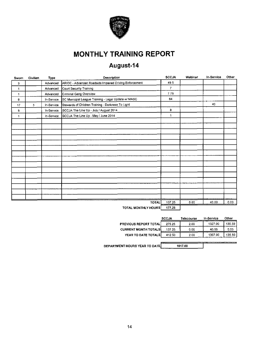

# **MONTHLY TRAINING REPORT**

# August-14

| Sworn        | Civilian | Type       | Description                                            | <b>SCCJA</b>   | Webinar | In-Service | Other |
|--------------|----------|------------|--------------------------------------------------------|----------------|---------|------------|-------|
| 3            |          | Advanced   | ARIDE - Advanced Roadside Impaired Driving Enforcement | 49.5           |         |            |       |
| 1            |          | Advanced   | Court Security Training                                | $\overline{7}$ |         |            |       |
| 1            |          | Advanced   | Criminal Gang Overview                                 | 7.75           |         |            |       |
| 8            |          | In-Service | SC Municipal League Training - Legal Update w/ MASC    | 64             |         |            |       |
| 17           | 3        | In-Service | Stewards of Children Training - Darkness To Light      |                |         | 40         |       |
| 8            |          | In-Service | SCCJA The Line Up - July / August 2014                 | 8              |         |            |       |
| $\mathbf{1}$ |          | In-Service | SCCJA The Line Up - May / June 2014                    | $\mathbf{1}$   |         |            |       |
|              |          |            |                                                        |                |         |            |       |
|              |          |            |                                                        |                |         |            |       |
|              |          |            |                                                        |                |         |            |       |
|              |          |            |                                                        |                |         |            |       |
|              |          |            |                                                        |                |         |            |       |
|              |          |            |                                                        |                |         |            |       |
|              |          |            |                                                        |                |         |            |       |
|              |          |            |                                                        |                |         |            |       |
|              |          |            |                                                        |                |         |            |       |
|              |          |            |                                                        |                |         |            |       |
|              |          |            |                                                        |                |         |            |       |
|              |          |            |                                                        |                |         |            |       |
|              |          |            |                                                        |                |         |            |       |
|              |          |            |                                                        |                |         |            |       |
|              |          |            |                                                        |                |         |            |       |
|              |          |            | <b>TOTAL</b>                                           | 137 25         | 0.00    | 40.00      | 0.00  |
|              |          |            | TOTAL MONTHLY HOUDE                                    | 477.25         |         |            |       |

TOTAL MONTHLY HOURS 177.25

|                              | <b>SCCJA</b> | Telecourse | In-Service | Other  |
|------------------------------|--------------|------------|------------|--------|
| <b>PREVIOUS REPORT TOTAL</b> | 275.25       | 2.00       | 1327.00    | 135.50 |
| <b>CURRENT MONTH TOTALS</b>  | 137 25       | 0.00       | 40.00      | 0.00   |
| YEAR TO DATE TOTALS          | 412.50       | 2.00       | 1367.00    | 135.50 |
|                              |              |            |            |        |

DEPARTMENT HOURS YEAR TO DATE

1917.00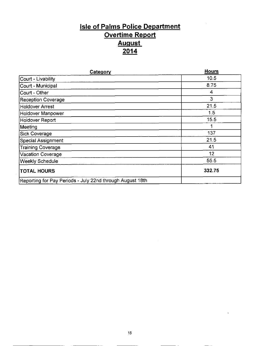## **Isle of Palms Police Department** Overtime Report August <u>2014</u>

| Category                                                  | <b>Hours</b> |
|-----------------------------------------------------------|--------------|
| Court - Livability                                        | 10.5         |
| Court - Municipal                                         | 8.75         |
| Court - Other                                             | 4            |
| Reception Coverage                                        | 3            |
| Holdover Arrest                                           | 21.5         |
| Holdover Manpower                                         | 1.5          |
| Holdover Report                                           | 15.5         |
| Meeting                                                   | 1            |
| Sick Coverage                                             | 137          |
| Special Assignment                                        | 21.5         |
| Training Coverage                                         | 41           |
| Vacation Coverage                                         | 12           |
| <b>Weekly Schedule</b>                                    | 55.5         |
| <b>TOTAL HOURS</b>                                        | 332.75       |
| Reporting for Pay Periods - July 22nd through August 18th |              |

L.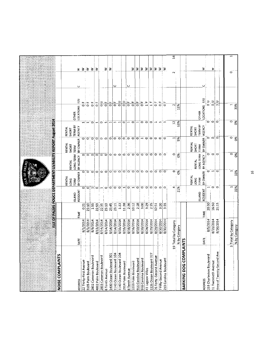| <b>NOISE COMPLAINTS</b>                              |                                                |                    |                             |                           | <b>SUSOS PAINS ROLG DEPARTMENT LIVABILITY REPORTANGE OF LISTS.</b> |                                |                                            |                          |                                                |        |                        |
|------------------------------------------------------|------------------------------------------------|--------------------|-----------------------------|---------------------------|--------------------------------------------------------------------|--------------------------------|--------------------------------------------|--------------------------|------------------------------------------------|--------|------------------------|
|                                                      |                                                |                    |                             | RENTAL                    |                                                                    | RENTAL                         | RENTAL                                     |                          |                                                |        |                        |
|                                                      |                                                |                    | <b>ISLAND</b>               | <b>TERM</b><br><b>DNG</b> | LONG TERM<br>RENTAL                                                | <b>SHORT</b><br><b>TERM</b>    | <b>TERM BY</b><br>SHORT                    | OTHER                    |                                                |        |                        |
| ADDRESS                                              | DATE                                           | TIME               | RESIDENT                    | BY OWNER                  | BY AGENCY                                                          | BY OWNER                       | AGENCY                                     | LOCATIONS F/U            |                                                | $\cup$ | š.                     |
| 22 Thirty-First Avenue                               | 8/1/2014                                       | $\overline{0}$     | ۰                           | o                         |                                                                    | o                              | ᆔ                                          | ö                        | $\mathbf{u}$                                   |        | ≳∣≲                    |
| 3105 Palm Boulevard                                  | 8/3/2014                                       | 23:10              | $\circ$                     | $\circ$                   | o¦o¦o                                                              | းေ                             |                                            |                          | ြိ                                             |        |                        |
| 2802 Cameron Boulevard                               | 8/9/2014                                       | 1.55               | $\overline{\phantom{a}}$    | $\circ$                   |                                                                    |                                | $\circ$                                    |                          | $\overline{0}$                                 |        | ₹                      |
| 4002 Palm Boulevard                                  | 8/13/2014                                      | 22.53              |                             | $\circ$                   | $\circ$                                                            | ۰                              | ⊣                                          |                          | ۳<br>O                                         |        | 3                      |
| 2803 Cameron Boulevard                               | 8/14/2014                                      | 22:35              | $\overline{\phantom{aa}}$ : | ੱ                         | $\circ$                                                            | $\circ$ $\circ$                | $\circ$                                    |                          | $\frac{1}{2}$                                  |        |                        |
| 8 Tenth Avenue                                       | 8/14/2014                                      | 23:10              | $\circ$                     | $\circ$                   | $\circ$                                                            |                                | $\mathbf{H}$                               | ठ                        | щ.                                             |        | ₹<br>≩                 |
| 1400 Ocean Boulevard 301                             | 8/14/2014<br>8/14/2014                         | $23 - 45$<br>23:11 | $\circ$                     | $\circ$                   | $\ddot{\circ}$                                                     | $\circ$                        | $\overline{\phantom{0}}$                   |                          | $\frac{1}{\mathbf{Q}}$<br>$\frac{1}{\sqrt{2}}$ |        |                        |
| 1140 Ocean Boulevard 104<br>1140 Ocean Boulevard 104 | 8/15/2014                                      | 1:33               | $\circ$<br>$\circ$          | $\circ$<br>$\circ$        | $\circ$ $\circ$                                                    | $\circ$ $\circ$                | $\overline{\phantom{0}}$<br>$\blacksquare$ |                          | 음                                              | ပ      |                        |
| 2914 Palm Boulevard                                  | 8/15/2014                                      | 11.38              | $\blacksquare$              | $\circ$                   |                                                                    |                                | $\circ$                                    |                          | $\frac{1}{\alpha}$                             |        |                        |
| 8 Tenth Avenue                                       | 8/16/2014                                      | 236                | $\circ$                     | $\circ$                   | aio o                                                              | ojo                            | $\overline{\phantom{a}}$                   | $\overline{\circ}$       | عه غ                                           | ပ      |                        |
| 3203 Palm Boulevard                                  | 8/16/2014                                      | 10:12              | $\blacksquare$              | $\circ$                   |                                                                    | $\circ$                        | $\circ$                                    |                          | $\frac{1}{\sigma}$                             |        | ż                      |
| 916 Carolina Boulevard                               | 8/19/2014                                      | 2:28               |                             | $\circ$                   | $\circ$                                                            | $\circ$                        | $\mathbf{\mathbf{r}}$                      |                          | $\frac{1}{\mathbf{C}}$                         |        | ₹                      |
| 918 Carolina Boulevard                               | 8/20/2014                                      | 3.00               | $\circ$                     | o o                       | $\circ$                                                            | $\overline{a}$                 | $\circ$ $\circ$                            |                          | $\frac{1}{\overline{0}}$                       |        | 3                      |
| 41 Lagoon Villas                                     | 8/24/2014                                      | 3.79               | $\circ$                     |                           | $\bullet$                                                          |                                |                                            |                          | $\frac{1}{1}$                                  |        | ₹                      |
| 1126 Ocean Boulevard 327                             | 8/29/2014                                      | $\frac{15}{2}$     | $\circ$                     | $\circ$                   | $\circ$                                                            | $\overline{\circ}$             | $\circ$                                    |                          | $\frac{4}{1}$                                  |        | $\geq$                 |
| 26 Forty-Second Avenue                               | 8/29/2014                                      | 12.51              | ٥                           | $\circ$                   | $\circ$ $\circ$                                                    | Ó                              | $\overline{\phantom{0}}$                   |                          | $\frac{1}{2}$                                  |        | $\gtrsim$              |
| 7 Fifty-Second Avenue                                | 8/30/2014                                      | 3.20               | $\circ$                     | $\circ$                   |                                                                    | $\circ$                        | $\blacksquare$                             |                          | $\frac{1}{\sigma}$                             |        | $\geq$                 |
| 213 Carolina Boulevard                               | 8/30/2014                                      | 3:35               | ۰                           | $\circ$                   | $\circ$                                                            | $\circ$                        | $\mathbf{\mathbf{r}}$                      | o                        | щ                                              |        | ₹                      |
|                                                      | 19 Total by Category                           |                    | 4                           |                           | ö                                                                  | r4                             | $\mathbf{S}$                               | $\overline{\phantom{a}}$ |                                                |        | $\mathbf{1}$<br>$\sim$ |
|                                                      | % by Category                                  |                    | 21%                         | ි<br>0%                   | Ö%.                                                                | $5\%$                          | 63%                                        | 11%                      |                                                |        |                        |
| BARKING DOG COMI                                     | <b>PLAINTS</b>                                 |                    |                             |                           |                                                                    |                                |                                            |                          |                                                |        |                        |
|                                                      |                                                |                    |                             | RENTAL<br>LONG<br>TERM    | RENTAL                                                             | <b>RENTAL</b><br>SHORT<br>TERM | <b>TERM BY</b><br>RENTAL<br>SHORT          | <b>OTHER</b>             |                                                |        |                        |
| <b>ADDRESS</b>                                       | DATE                                           | <b>HME</b>         | RESIDENT<br><b>ISLAND</b>   |                           | LONG TERM<br>BY OWNER BY AGENCY                                    | BY OWNER AGENCY                |                                            | LOCATIONS F/U            |                                                | پ      | 3                      |
| 218 Charleston Boulevard                             | 8/5/2014                                       | 20:30              |                             | 0                         |                                                                    | $\circ$                        | $\circ$                                    |                          | υ<br>Ο                                         |        |                        |
| 11 Twentieth Avenue                                  | 8/21/2014                                      | 16:50              | ⊣ ೦                         | $\blacksquare$            | 00                                                                 | $\ddot{\mathbf{o}}$            | $\circ$                                    |                          | $\frac{1}{\sigma}$                             |        | 3                      |
| Area of Twenty-Second Ave                            | 8/26/2014                                      | 21:15              | $\circ$                     | $\circ$                   | $\circ$                                                            | $\circ$                        | $\circ$                                    | $\blacksquare$           | ⊃                                              |        |                        |
|                                                      |                                                |                    |                             |                           |                                                                    |                                |                                            |                          |                                                |        |                        |
|                                                      | Total by Category<br>$\overline{\mathfrak{m}}$ |                    | ٣                           | $\blacksquare$            | 0                                                                  | $\circ$                        | $\circ$                                    | 1                        |                                                |        | ö                      |
|                                                      | % by Category                                  |                    | 33%                         | 33%                       | క                                                                  | క                              | క                                          | 33%                      |                                                |        |                        |